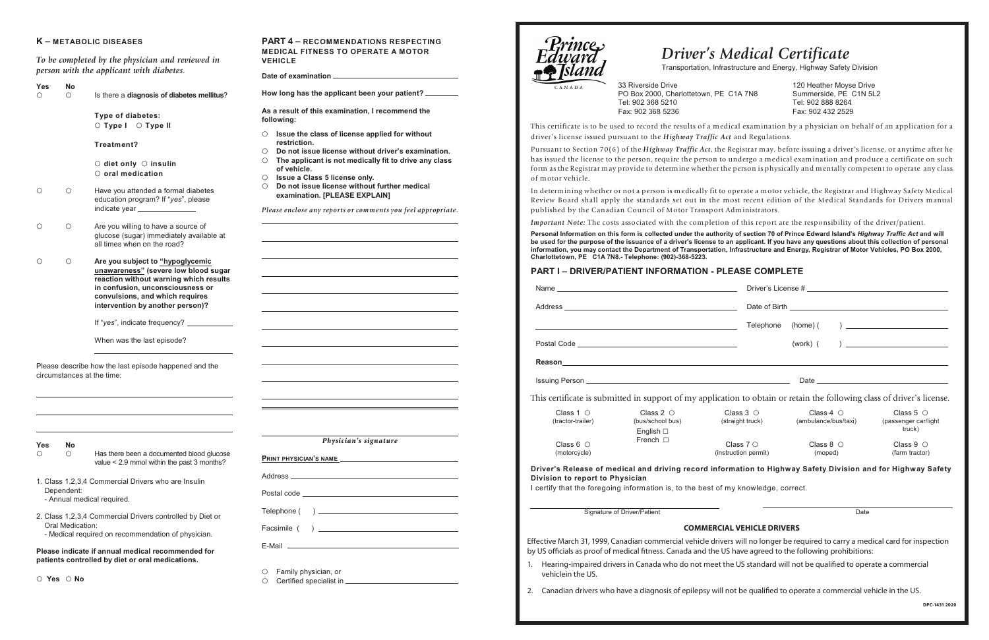## **K – METABOLIC DISEASES**

|          |                        | person with the applicant with aiabetes.                                                                                                                                                                                      | Date of examination __                                                                                                                          |
|----------|------------------------|-------------------------------------------------------------------------------------------------------------------------------------------------------------------------------------------------------------------------------|-------------------------------------------------------------------------------------------------------------------------------------------------|
| Yes<br>О | <b>No</b><br>$\circ$   | Is there a diagnosis of diabetes mellitus?                                                                                                                                                                                    | How long has the applicant been your patient? __                                                                                                |
|          |                        | <b>Type of diabetes:</b><br>$\circ$ Type I $\circ$ Type II                                                                                                                                                                    | As a result of this examination, I recommend the<br>following:                                                                                  |
|          |                        | Treatment?                                                                                                                                                                                                                    | Issue the class of license applied for without<br>O<br>restriction.<br>Do not issue license without driver's examination.<br>O.                 |
|          |                        | $\circ$ diet only $\circ$ insulin<br>$\circ$ oral medication                                                                                                                                                                  | The applicant is not medically fit to drive any class<br>O<br>of vehicle.<br>Issue a Class 5 license only.<br>O                                 |
| O        | $\circ$                | Have you attended a formal diabetes<br>education program? If "yes", please<br>indicate year ________________                                                                                                                  | ○ Do not issue license without further medical<br>examination. [PLEASE EXPLAIN]<br>Please enclose any reports or comments you feel appropriate. |
| O        | $\circ$                | Are you willing to have a source of<br>glucose (sugar) immediately available at<br>all times when on the road?                                                                                                                |                                                                                                                                                 |
| $\circ$  | $\circ$                | Are you subject to "hypoglycemic<br>unawareness" (severe low blood sugar<br>reaction without warning which results<br>in confusion, unconsciousness or<br>convulsions, and which requires<br>intervention by another person)? |                                                                                                                                                 |
|          |                        | If "yes", indicate frequency? _____________                                                                                                                                                                                   |                                                                                                                                                 |
|          |                        | When was the last episode?                                                                                                                                                                                                    |                                                                                                                                                 |
|          |                        | Please describe how the last episode happened and the<br>circumstances at the time:                                                                                                                                           |                                                                                                                                                 |
|          |                        |                                                                                                                                                                                                                               |                                                                                                                                                 |
| Yes      | No                     |                                                                                                                                                                                                                               | Physician's signature                                                                                                                           |
| О        | $\circ$                | Has there been a documented blood glucose<br>value < 2.9 mmol within the past 3 months?                                                                                                                                       | PRINT PHYSICIAN'S NAME                                                                                                                          |
|          |                        | 1. Class 1,2,3,4 Commercial Drivers who are Insulin                                                                                                                                                                           |                                                                                                                                                 |
|          | Dependent:             | - Annual medical required.                                                                                                                                                                                                    |                                                                                                                                                 |
|          |                        | 2. Class 1,2,3,4 Commercial Drivers controlled by Diet or                                                                                                                                                                     |                                                                                                                                                 |
|          | Oral Medication:       | - Medical required on recommendation of physician.                                                                                                                                                                            |                                                                                                                                                 |
|          |                        | Please indicate if annual medical recommended for<br>patients controlled by diet or oral medications.                                                                                                                         | E-Mail 2008 2009 2010 2021 2022 2023 2024 2022 2023 2024 2022 2023 2024 2022 2023 2024 2022 2023 2024 2022 20                                   |
|          | $\circ$ Yes $\circ$ No |                                                                                                                                                                                                                               | Family physician, or<br>O<br>0                                                                                                                  |

*To be completed by the physician and reviewed in person with the applicant with diabetes*.

**PART 4 – RECOMMENDATIONS RESPECTING MEDICAL FITNESS TO OPERATE A MOTOR**

**VEHICLE**



# *Driver's Medical Certificate*

CANADA

33 Riverside Drive 120 Heather Moyse Dr PO Box 2000, Charlottetown, PE C Tel: 902 368 5210 Fax: 902 368 5236

Transportation, Infrastructure and Energy, Highway Safety Division

|         | 120 Heather Moyse Drive |
|---------|-------------------------|
| C1A 7N8 | Summerside, PE C1N 5L2  |
|         | Tel: 902 888 8264       |
|         | Fax: 902 432 2529       |
|         |                         |

| EASE CUMPLETE.     |  |
|--------------------|--|
| Driver's License # |  |
|                    |  |

This certificate is to be used to record the results of a medical examination by a physician on behalf of an application for a driver's license issued pursuant to the *Highway Traffic Act* and Regulations.

Pursuant to Section 70(6) of the *Highway Traffic Act*, the Registrar may, before issuing a driver's license, or anytime after he has issued the license to the person, require the person to undergo a medical examination and produce a certificate on such form as the Registrar may provide to determine whether the person is physically and mentally competent to operate any class of motor vehicle.

In determining whether or not a person is medically fit to operate a motor vehicle, the Registrar and Highway Safety Medical Review Board shall apply the standards set out in the most recent edition of the Medical Standards for Drivers manual published by the Canadian Council of Motor Transport Administrators.

*Important Note:* The costs associated with the completion of this report are the responsibility of the driver/patient.

**Personal Information on this form is collected under the authority of section 70 of Prince Edward Island's** *Highway Traffic Act* **and will be used for the purpose of the issuance of a driver's license to an applicant. If you have any questions about this collection of personal information, you may contact the Department of Transportation, Infrastructure and Energy, Registrar of Motor Vehicles, PO Box 2000, Charlottetown, PE C1A 7N8.- Telephone: (902)-368-5223.**

# **PART I – DRIVER/PATIENT INFORMATION - PLEASE COMPLETE**

|                                      | <u> 1989 - Andrea Stadt Britain, amerikansk politik (* 1958)</u> |                                                                                                                         |                                                          |                                                                                                                                                                                                                                                                                                                                        |  |  |  |  |
|--------------------------------------|------------------------------------------------------------------|-------------------------------------------------------------------------------------------------------------------------|----------------------------------------------------------|----------------------------------------------------------------------------------------------------------------------------------------------------------------------------------------------------------------------------------------------------------------------------------------------------------------------------------------|--|--|--|--|
|                                      |                                                                  |                                                                                                                         | (work) (                                                 | $\left( \begin{array}{ccc} 0 & 0 & 0 \\ 0 & 0 & 0 \\ 0 & 0 & 0 \\ 0 & 0 & 0 \\ 0 & 0 & 0 \\ 0 & 0 & 0 \\ 0 & 0 & 0 \\ 0 & 0 & 0 \\ 0 & 0 & 0 \\ 0 & 0 & 0 \\ 0 & 0 & 0 \\ 0 & 0 & 0 \\ 0 & 0 & 0 \\ 0 & 0 & 0 & 0 \\ 0 & 0 & 0 & 0 \\ 0 & 0 & 0 & 0 \\ 0 & 0 & 0 & 0 & 0 \\ 0 & 0 & 0 & 0 & 0 \\ 0 & 0 & 0 & 0 & 0 \\ 0 & 0 & 0 & 0 &$ |  |  |  |  |
|                                      |                                                                  |                                                                                                                         |                                                          |                                                                                                                                                                                                                                                                                                                                        |  |  |  |  |
|                                      |                                                                  |                                                                                                                         |                                                          | Date <u>and the second contract of the second contract of</u>                                                                                                                                                                                                                                                                          |  |  |  |  |
|                                      |                                                                  | This certificate is submitted in support of my application to obtain or retain the following class of driver's license. |                                                          |                                                                                                                                                                                                                                                                                                                                        |  |  |  |  |
| Class $1 \circ$<br>(tractor-trailer) | Class 2 $\circ$<br>(bus/school bus)<br>English $\Box$            | Class 3 $\circ$                                                                                                         | Class 4 $\circ$<br>(straight truck) (ambulance/bus/taxi) | Class 5 $\circ$<br>(passenger car/light)<br>truck)                                                                                                                                                                                                                                                                                     |  |  |  |  |
| Class $6 \circ$<br>(motorcycle)      | French $\Box$                                                    |                                                                                                                         | Class $8^\circ$<br>(instruction permit)<br>(moped)       | Class $9^\circ$ $\circ$<br>(farm tractor)                                                                                                                                                                                                                                                                                              |  |  |  |  |
| Division to report to Physician      |                                                                  | Driver's Release of medical and driving record information to Highway Safety Division and for Highway Safety            |                                                          |                                                                                                                                                                                                                                                                                                                                        |  |  |  |  |

I certify that the foregoing information is, to the best of my knowledge, correct.

Signature of Driver/Patient Date

Effective March 31, 1999, Canadian commercial vehicle drivers will no longer be required to carry a medical card for inspection by US officials as proof of medical fitness. Canada and the US have agreed to the following prohibitions:

### **COMMERCIAL VEHICLE DRIVERS COMMERCIAL VEHICLE DRIVERS**

1. Hearing-impaired drivers in Canada who do not meet the US standard will not be qualified to operate a commercial

2. Canadian drivers who have a diagnosis of epilepsy will not be qualified to operate a commercial vehicle in the US.

- 2. Hearing-impaired drivers in Canada who do not meet the US standard will not be qualified to operate a commercial vehicle vehiclein the US.
-